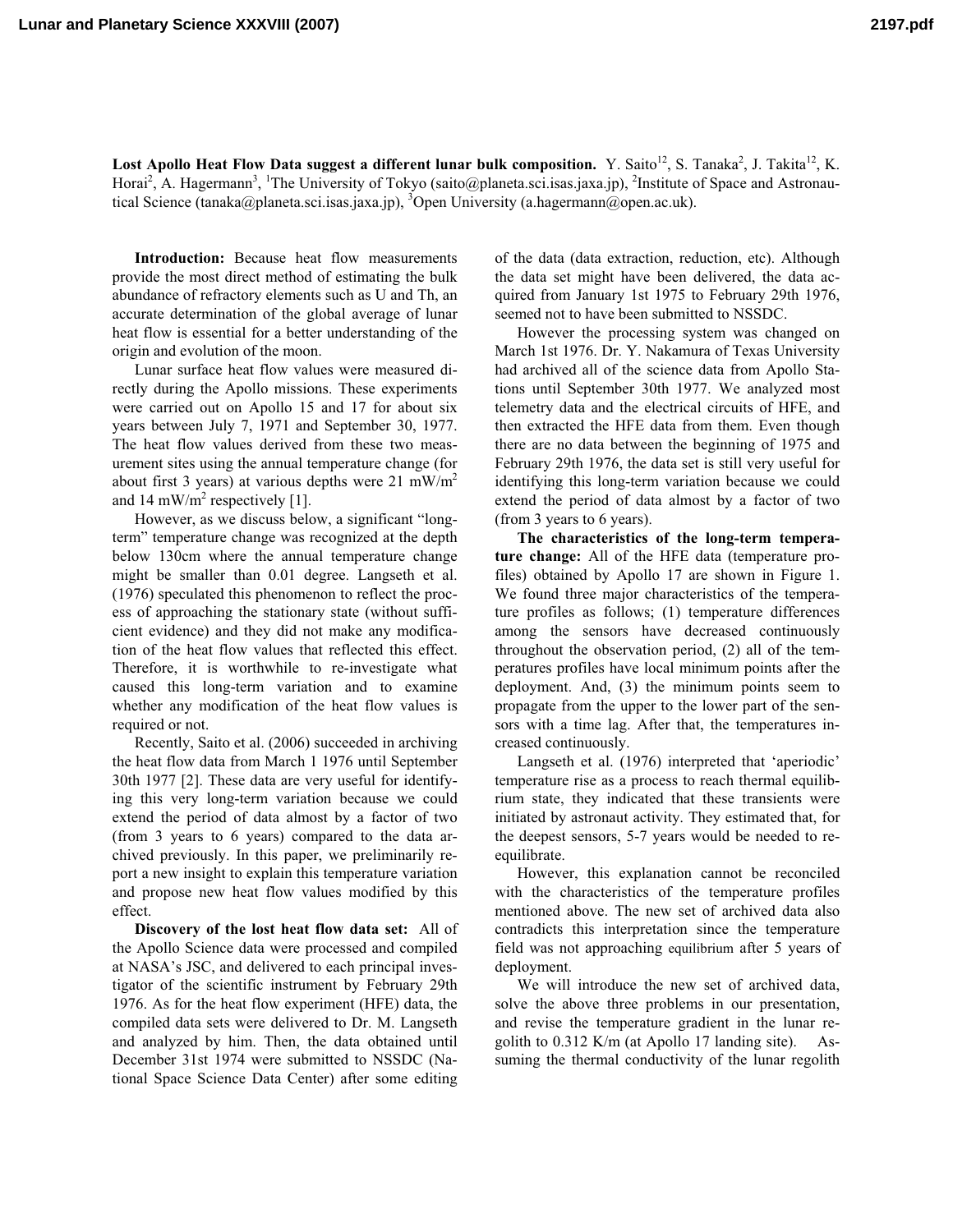**Lunar and Planetary Science XXXVIII (2007) 2197.pdf**

Lost Apollo Heat Flow Data suggest a different lunar bulk composition. Y. Saito<sup>12</sup>, S. Tanaka<sup>2</sup>, J. Takita<sup>12</sup>, K. Horai<sup>2</sup>, A. Hagermann<sup>3</sup>, <sup>1</sup>The University of Tokyo (saito@planeta.sci.isas.jaxa.jp), <sup>2</sup>Institute of Space and Astronautical Science (tanaka@planeta.sci.isas.jaxa.jp), <sup>3</sup>Open University (a.hagermann@open.ac.uk).

**Introduction:** Because heat flow measurements provide the most direct method of estimating the bulk abundance of refractory elements such as U and Th, an accurate determination of the global average of lunar heat flow is essential for a better understanding of the origin and evolution of the moon.

Lunar surface heat flow values were measured directly during the Apollo missions. These experiments were carried out on Apollo 15 and 17 for about six years between July 7, 1971 and September 30, 1977. The heat flow values derived from these two measurement sites using the annual temperature change (for about first 3 years) at various depths were 21 mW/m<sup>2</sup> and 14 mW/m<sup>2</sup> respectively [1].

However, as we discuss below, a significant "longterm" temperature change was recognized at the depth below 130cm where the annual temperature change might be smaller than 0.01 degree. Langseth et al. (1976) speculated this phenomenon to reflect the process of approaching the stationary state (without sufficient evidence) and they did not make any modification of the heat flow values that reflected this effect. Therefore, it is worthwhile to re-investigate what caused this long-term variation and to examine whether any modification of the heat flow values is required or not.

Recently, Saito et al. (2006) succeeded in archiving the heat flow data from March 1 1976 until September 30th 1977 [2]. These data are very useful for identifying this very long-term variation because we could extend the period of data almost by a factor of two (from 3 years to 6 years) compared to the data archived previously. In this paper, we preliminarily report a new insight to explain this temperature variation and propose new heat flow values modified by this effect.

**Discovery of the lost heat flow data set:** All of the Apollo Science data were processed and compiled at NASA's JSC, and delivered to each principal investigator of the scientific instrument by February 29th 1976. As for the heat flow experiment (HFE) data, the compiled data sets were delivered to Dr. M. Langseth and analyzed by him. Then, the data obtained until December 31st 1974 were submitted to NSSDC (National Space Science Data Center) after some editing

of the data (data extraction, reduction, etc). Although the data set might have been delivered, the data acquired from January 1st 1975 to February 29th 1976, seemed not to have been submitted to NSSDC.

However the processing system was changed on March 1st 1976. Dr. Y. Nakamura of Texas University had archived all of the science data from Apollo Stations until September 30th 1977. We analyzed most telemetry data and the electrical circuits of HFE, and then extracted the HFE data from them. Even though there are no data between the beginning of 1975 and February 29th 1976, the data set is still very useful for identifying this long-term variation because we could extend the period of data almost by a factor of two (from 3 years to 6 years).

**The characteristics of the long-term temperature change:** All of the HFE data (temperature profiles) obtained by Apollo 17 are shown in Figure 1. We found three major characteristics of the temperature profiles as follows; (1) temperature differences among the sensors have decreased continuously throughout the observation period, (2) all of the temperatures profiles have local minimum points after the deployment. And, (3) the minimum points seem to propagate from the upper to the lower part of the sensors with a time lag. After that, the temperatures increased continuously.

Langseth et al. (1976) interpreted that 'aperiodic' temperature rise as a process to reach thermal equilibrium state, they indicated that these transients were initiated by astronaut activity. They estimated that, for the deepest sensors, 5-7 years would be needed to reequilibrate.

However, this explanation cannot be reconciled with the characteristics of the temperature profiles mentioned above. The new set of archived data also contradicts this interpretation since the temperature field was not approaching equilibrium after 5 years of deployment.

We will introduce the new set of archived data, solve the above three problems in our presentation, and revise the temperature gradient in the lunar regolith to 0.312 K/m (at Apollo 17 landing site). Assuming the thermal conductivity of the lunar regolith